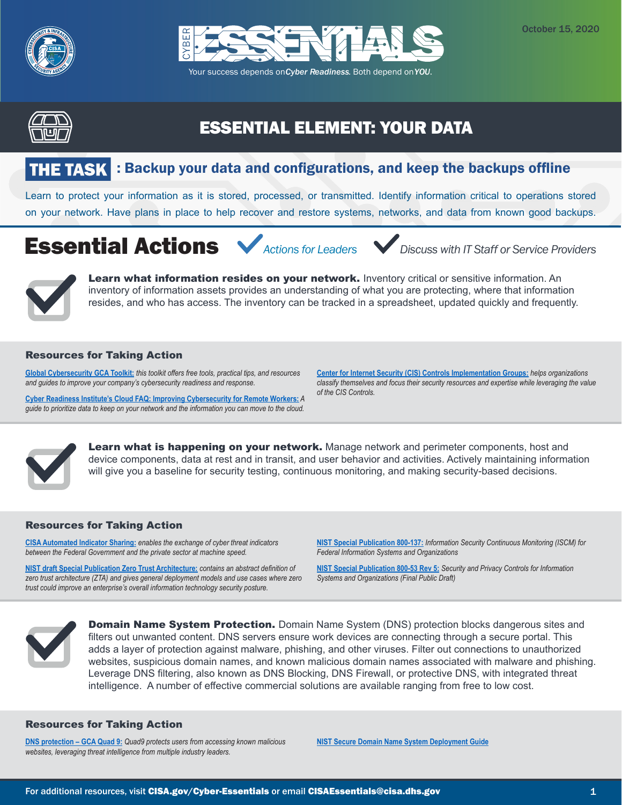





# ESSENTIAL ELEMENT: YOUR DATA

# : Backup your data and configurations, and keep the backups offline

Learn to protect your information as it is stored, processed, or transmitted. Identify information critical to operations stored on your network. Have plans in place to help recover and restore systems, networks, and data from known good backups.

# Essential Actions *Actions for Leaders Discuss with IT Staff or Service Providers*



Learn what information resides on your network. Inventory critical or sensitive information. An inventory of information assets provides an understanding of what you are protecting, where that information resides, and who has access. The inventory can be tracked in a spreadsheet, updated quickly and frequently.

## Resources for Taking Action

**[Global Cybersecurity GCA Toolkit:](https://gcatoolkit.org/smallbusiness/#tool-boxes)** *this toolkit offers free tools, practical tips, and resources and guides to improve your company's cybersecurity readiness and response.*

**[Cyber Readiness Institute's](https://www.cyberreadinessinstitute.org/images/CRI-Cloud-FAQ-mproving-Cybersecurity-for-Remote-Workers.pdf) Cloud FAQ: Improving Cybersecurity for Remote Workers:** *A guide to prioritize data to keep on your network and the information you can move to the cloud.*

**[Center for Internet Security \(CIS\) Controls Implementation Groups](https://www.cisecurity.org/white-papers/cis-controls-v-7-1-implementation-groups/):** *helps organizations classify themselves and focus their security resources and expertise while leveraging the value of the CIS Controls.*



Learn what is happening on your network. Manage network and perimeter components, host and device components, data at rest and in transit, and user behavior and activities. Actively maintaining information will give you a baseline for security testing, continuous monitoring, and making security-based decisions.

## Resources for Taking Action

**[CISA Automated Indicator Sharing:](https://www.us-cert.gov/ais)** *enables the exchange of cyber threat indicators between the Federal Government and the private sector at machine speed.*

**[NIST draft Special Publication Zero Trust Architecture:](https://csrc.nist.gov/publications/detail/sp/800-207/draft)** *contains an abstract definition of zero trust architecture (ZTA) and gives general deployment models and use cases where zero trust could improve an enterprise's overall information technology security posture.*

**[NIST Special Publication 800-137:](https://csrc.nist.gov/publications/detail/sp/800-137/final)** *Information Security Continuous Monitoring (ISCM) for Federal Information Systems and Organizations* 

**[NIST Special Publication 800-53 Rev 5:](https://csrc.nist.gov/publications/detail/sp/800-53/rev-5/draft)** *Security and Privacy Controls for Information Systems and Organizations (Final Public Draft)*



**Domain Name System Protection.** Domain Name System (DNS) protection blocks dangerous sites and filters out unwanted content. DNS servers ensure work devices are connecting through a secure portal. This adds a layer of protection against malware, phishing, and other viruses. Filter out connections to unauthorized websites, suspicious domain names, and known malicious domain names associated with malware and phishing. Leverage DNS filtering, also known as DNS Blocking, DNS Firewall, or protective DNS, with integrated threat intelligence. A number of effective commercial solutions are available ranging from free to low cost.

## Resources for Taking Action

**[DNS protection – GCA Quad 9:](https://www.globalcyberalliance.org/quad9/)** *Quad9 protects users from accessing known malicious websites, leveraging threat intelligence from multiple industry leaders.*

**[NIST Secure Domain Name System Deployment Guide](https://nvlpubs.nist.gov/nistpubs/SpecialPublications/NIST.SP.800-81-2.pdf)**